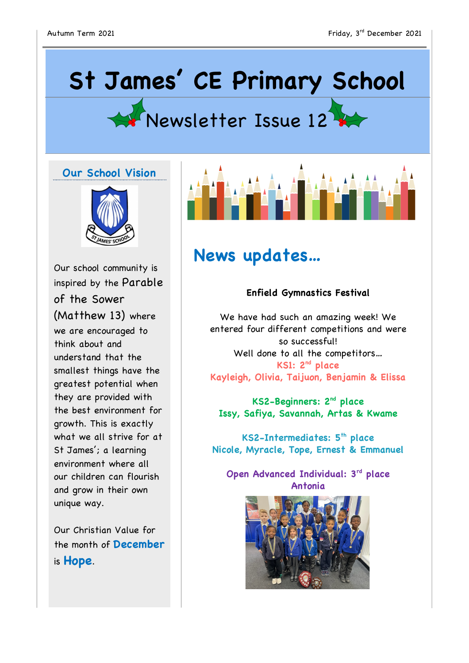# **St James' CE Primary School**



### **Our School Vision**



Our school community is inspired by the Parable of the Sower (Matthew 13) where we are encouraged to think about and understand that the smallest things have the greatest potential when they are provided with the best environment for growth. This is exactly what we all strive for at St James'; a learning environment where all our children can flourish and grow in their own unique way.

Our Christian Value for the month of **December** is **Hope**.



# **News updates…**

#### **Enfield Gymnastics Festival**

We have had such an amazing week! We entered four different competitions and were so successful! Well done to all the competitors… **KS1: 2nd place Kayleigh, Olivia, Taijuon, Benjamin & Elissa**

**KS2-Beginners: 2nd place Issy, Safiya, Savannah, Artas & Kwame**

**KS2-Intermediates: 5th place Nicole, Myracle, Tope, Ernest & Emmanuel**

**Open Advanced Individual: 3rd place Antonia**